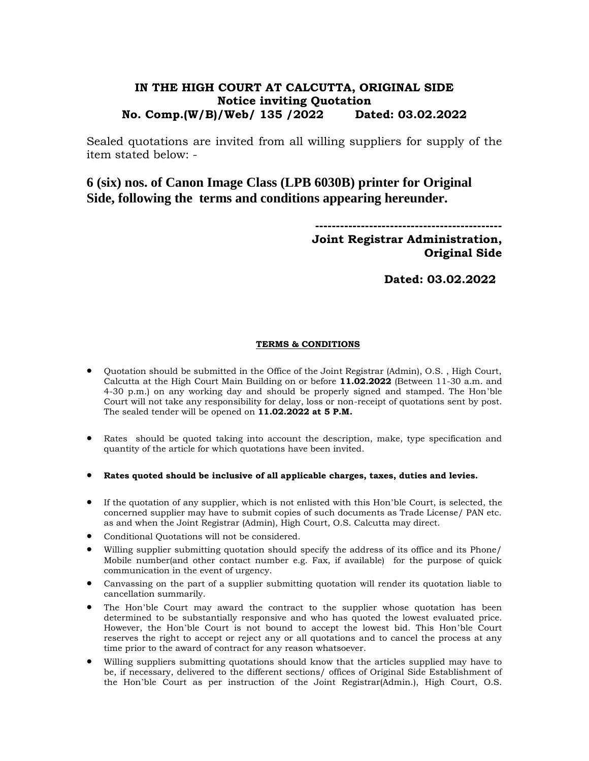## **IN THE HIGH COURT AT CALCUTTA, ORIGINAL SIDE Notice inviting Quotation No. Comp.(W/B)/Web/ 135 /2022 Dated: 03.02.2022**

Sealed quotations are invited from all willing suppliers for supply of the item stated below: -

# **6 (six) nos. of Canon Image Class (LPB 6030B) printer for Original Side, following the terms and conditions appearing hereunder.**

**--------------------------------------------- Joint Registrar Administration, Original Side** 

**Dated: 03.02.2022**

#### **TERMS & CONDITIONS**

- Quotation should be submitted in the Office of the Joint Registrar (Admin), O.S. , High Court, Calcutta at the High Court Main Building on or before **11.02.2022** (Between 11-30 a.m. and 4-30 p.m.) on any working day and should be properly signed and stamped. The Hon'ble Court will not take any responsibility for delay, loss or non-receipt of quotations sent by post. The sealed tender will be opened on **11.02.2022 at 5 P.M.**
- Rates should be quoted taking into account the description, make, type specification and quantity of the article for which quotations have been invited.
- **Rates quoted should be inclusive of all applicable charges, taxes, duties and levies.**
- If the quotation of any supplier, which is not enlisted with this Hon'ble Court, is selected, the concerned supplier may have to submit copies of such documents as Trade License/ PAN etc. as and when the Joint Registrar (Admin), High Court, O.S. Calcutta may direct.
- Conditional Quotations will not be considered.
- Willing supplier submitting quotation should specify the address of its office and its Phone/ Mobile number(and other contact number e.g. Fax, if available) for the purpose of quick communication in the event of urgency.
- Canvassing on the part of a supplier submitting quotation will render its quotation liable to cancellation summarily.
- The Hon'ble Court may award the contract to the supplier whose quotation has been determined to be substantially responsive and who has quoted the lowest evaluated price. However, the Hon'ble Court is not bound to accept the lowest bid. This Hon'ble Court reserves the right to accept or reject any or all quotations and to cancel the process at any time prior to the award of contract for any reason whatsoever.
- Willing suppliers submitting quotations should know that the articles supplied may have to be, if necessary, delivered to the different sections/ offices of Original Side Establishment of the Hon'ble Court as per instruction of the Joint Registrar(Admin.), High Court, O.S.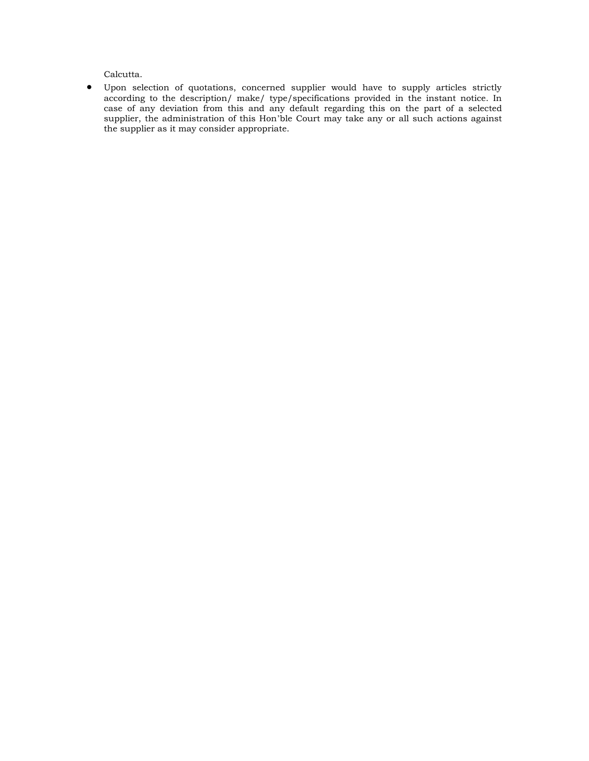Calcutta.

 Upon selection of quotations, concerned supplier would have to supply articles strictly according to the description/ make/ type/specifications provided in the instant notice. In case of any deviation from this and any default regarding this on the part of a selected supplier, the administration of this Hon'ble Court may take any or all such actions against the supplier as it may consider appropriate.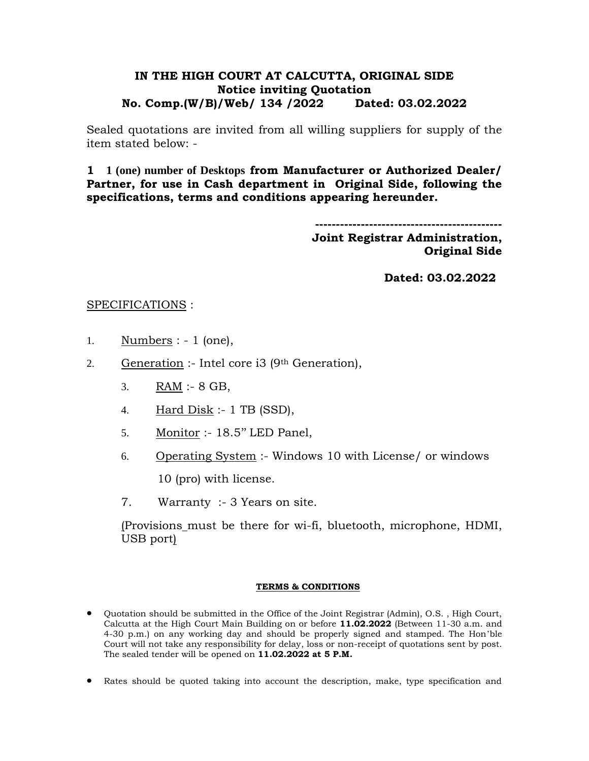### **IN THE HIGH COURT AT CALCUTTA, ORIGINAL SIDE Notice inviting Quotation No. Comp.(W/B)/Web/ 134 /2022 Dated: 03.02.2022**

Sealed quotations are invited from all willing suppliers for supply of the item stated below: -

**1 1 (one) number of Desktops from Manufacturer or Authorized Dealer/ Partner, for use in Cash department in Original Side, following the specifications, terms and conditions appearing hereunder.**

> **--------------------------------------------- Joint Registrar Administration, Original Side**

> > **Dated: 03.02.2022**

### SPECIFICATIONS :

- 1. Numbers : 1 (one),
- 2. Generation :- Intel core i3 (9<sup>th</sup> Generation),
	- 3. RAM :- 8 GB,
	- 4. Hard  $Disk : 1 TB (SSD),$
	- 5. Monitor :- 18.5'' LED Panel,
	- 6. Operating System :- Windows 10 with License/ or windows

10 (pro) with license.

7. Warranty :- 3 Years on site.

(Provisions must be there for wi-fi, bluetooth, microphone, HDMI, USB port)

#### **TERMS & CONDITIONS**

- Quotation should be submitted in the Office of the Joint Registrar (Admin), O.S. , High Court, Calcutta at the High Court Main Building on or before **11.02.2022** (Between 11-30 a.m. and 4-30 p.m.) on any working day and should be properly signed and stamped. The Hon'ble Court will not take any responsibility for delay, loss or non-receipt of quotations sent by post. The sealed tender will be opened on **11.02.2022 at 5 P.M.**
- Rates should be quoted taking into account the description, make, type specification and